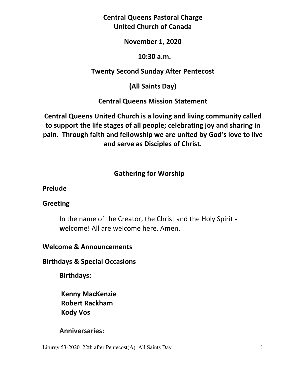**Central Queens Pastoral Charge United Church of Canada** 

## **November 1, 2020**

#### **10:30 a.m.**

# **Twenty Second Sunday After Pentecost**

**(All Saints Day)** 

**Central Queens Mission Statement** 

**Central Queens United Church is a loving and living community called to support the life stages of all people; celebrating joy and sharing in pain. Through faith and fellowship we are united by God's love to live and serve as Disciples of Christ.**

# **Gathering for Worship**

**Prelude** 

## **Greeting**

In the name of the Creator, the Christ and the Holy Spirit  **w**elcome! All are welcome here. Amen.

# **Welcome & Announcements**

## **Birthdays & Special Occasions**

**Birthdays:** 

 **Kenny MacKenzie Robert Rackham Kody Vos** 

# **Anniversaries:**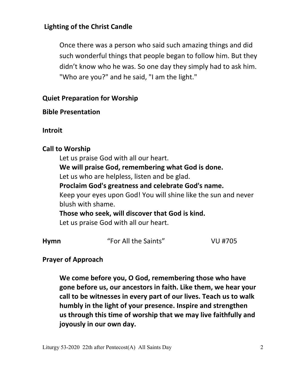# **Lighting of the Christ Candle**

Once there was a person who said such amazing things and did such wonderful things that people began to follow him. But they didn't know who he was. So one day they simply had to ask him. "Who are you?" and he said, "I am the light."

# **Quiet Preparation for Worship**

# **Bible Presentation**

**Introit**

# **Call to Worship**

 Let us praise God with all our heart.  **We will praise God, remembering what God is done.**  Let us who are helpless, listen and be glad.  **Proclaim God's greatness and celebrate God's name.**  Keep your eyes upon God! You will shine like the sun and never blush with shame.  **Those who seek, will discover that God is kind.**  Let us praise God with all our heart.

| <b>Hymn</b> | "For All the Saints" | VU #705 |
|-------------|----------------------|---------|
|-------------|----------------------|---------|

# **Prayer of Approach**

 **We come before you, O God, remembering those who have gone before us, our ancestors in faith. Like them, we hear your call to be witnesses in every part of our lives. Teach us to walk humbly in the light of your presence. Inspire and strengthen us through this time of worship that we may live faithfully and joyously in our own day.**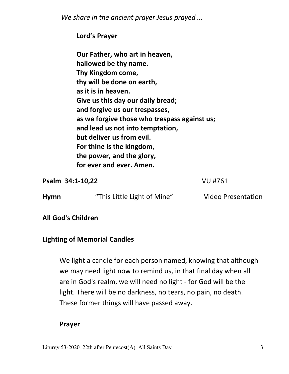*We share in the ancient prayer Jesus prayed ...*

 **Lord's Prayer** 

 **Our Father, who art in heaven, hallowed be thy name. Thy Kingdom come, thy will be done on earth, as it is in heaven. Give us this day our daily bread; and forgive us our trespasses, as we forgive those who trespass against us; and lead us not into temptation, but deliver us from evil. For thine is the kingdom, the power, and the glory, for ever and ever. Amen.** 

**Psalm 34:1-10,22** VU #761

| <b>Hymn</b> | "This Little Light of Mine" |
|-------------|-----------------------------|
|-------------|-----------------------------|

**Video Presentation** 

**All God's Children** 

# **Lighting of Memorial Candles**

We light a candle for each person named, knowing that although we may need light now to remind us, in that final day when all are in God's realm, we will need no light - for God will be the light. There will be no darkness, no tears, no pain, no death. These former things will have passed away.

## **Prayer**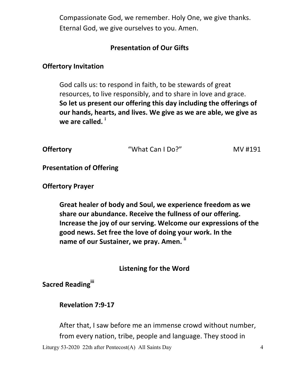Compassionate God, we remember. Holy One, we give thanks. Eternal God, we give ourselves to you. Amen.

# **Presentation of Our Gifts**

# **Offertory Invitation**

God calls us: to respond in faith, to be stewards of great resources, to live responsibly, and to share in love and grace.  **So let us present our offering this day including the offerings of our hands, hearts, and lives. We give as we are able, we give as we are called. <sup>i</sup>** 

| <b>Offertory</b> | "What Can I Do?" | MV #191 |
|------------------|------------------|---------|
|                  |                  |         |

**Presentation of Offering** 

# **Offertory Prayer**

 **Great healer of body and Soul, we experience freedom as we share our abundance. Receive the fullness of our offering. Increase the joy of our serving. Welcome our expressions of the good news. Set free the love of doing your work. In the name of our Sustainer, we pray. Amen. ii**

**Listening for the Word**

**Sacred Readingiii**

# **Revelation 7:9-17**

After that, I saw before me an immense crowd without number, from every nation, tribe, people and language. They stood in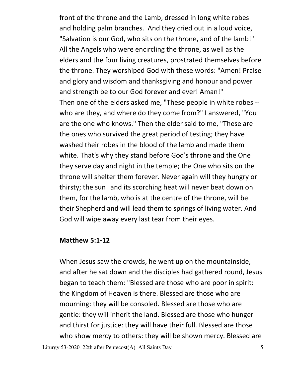front of the throne and the Lamb, dressed in long white robes and holding palm branches. And they cried out in a loud voice, "Salvation is our God, who sits on the throne, and of the lamb!" All the Angels who were encircling the throne, as well as the elders and the four living creatures, prostrated themselves before the throne. They worshiped God with these words: "Amen! Praise and glory and wisdom and thanksgiving and honour and power and strength be to our God forever and ever! Aman!" Then one of the elders asked me, "These people in white robes - who are they, and where do they come from?" I answered, "You are the one who knows." Then the elder said to me, "These are the ones who survived the great period of testing; they have washed their robes in the blood of the lamb and made them white. That's why they stand before God's throne and the One they serve day and night in the temple; the One who sits on the throne will shelter them forever. Never again will they hungry or thirsty; the sun and its scorching heat will never beat down on them, for the lamb, who is at the centre of the throne, will be their Shepherd and will lead them to springs of living water. And God will wipe away every last tear from their eyes.

#### **Matthew 5:1-12**

When Jesus saw the crowds, he went up on the mountainside, and after he sat down and the disciples had gathered round, Jesus began to teach them: "Blessed are those who are poor in spirit: the Kingdom of Heaven is there. Blessed are those who are mourning: they will be consoled. Blessed are those who are gentle: they will inherit the land. Blessed are those who hunger and thirst for justice: they will have their full. Blessed are those who show mercy to others: they will be shown mercy. Blessed are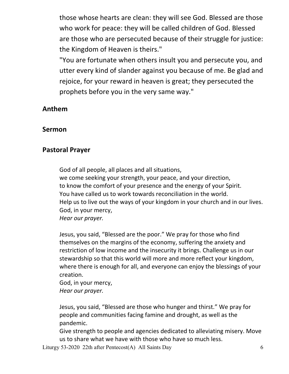those whose hearts are clean: they will see God. Blessed are those who work for peace: they will be called children of God. Blessed are those who are persecuted because of their struggle for justice: the Kingdom of Heaven is theirs."

 "You are fortunate when others insult you and persecute you, and utter every kind of slander against you because of me. Be glad and rejoice, for your reward in heaven is great; they persecuted the prophets before you in the very same way."

## **Anthem**

#### **Sermon**

## **Pastoral Prayer**

 God of all people, all places and all situations, we come seeking your strength, your peace, and your direction, to know the comfort of your presence and the energy of your Spirit. You have called us to work towards reconciliation in the world. Help us to live out the ways of your kingdom in your church and in our lives. God, in your mercy, *Hear our prayer.* 

 Jesus, you said, "Blessed are the poor." We pray for those who find themselves on the margins of the economy, suffering the anxiety and restriction of low income and the insecurity it brings. Challenge us in our stewardship so that this world will more and more reflect your kingdom, where there is enough for all, and everyone can enjoy the blessings of your creation.

 God, in your mercy, *Hear our prayer.* 

 Jesus, you said, "Blessed are those who hunger and thirst." We pray for people and communities facing famine and drought, as well as the pandemic.

 Give strength to people and agencies dedicated to alleviating misery. Move us to share what we have with those who have so much less.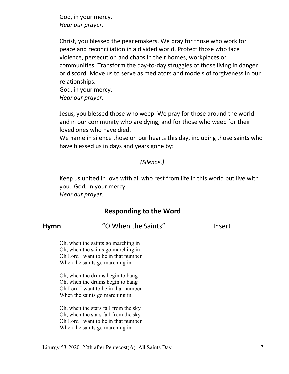God, in your mercy, *Hear our prayer.* 

 Christ, you blessed the peacemakers. We pray for those who work for peace and reconciliation in a divided world. Protect those who face violence, persecution and chaos in their homes, workplaces or communities. Transform the day-to-day struggles of those living in danger or discord. Move us to serve as mediators and models of forgiveness in our relationships.

 God, in your mercy, *Hear our prayer.* 

 Jesus, you blessed those who weep. We pray for those around the world and in our community who are dying, and for those who weep for their loved ones who have died.

 We name in silence those on our hearts this day, including those saints who have blessed us in days and years gone by:

#### *(Silence.)*

 Keep us united in love with all who rest from life in this world but live with you. God, in your mercy, *Hear our prayer.*

# **Responding to the Word**

**Hymn** "O When the Saints" Insert

Oh, when the saints go marching in Oh, when the saints go marching in Oh Lord I want to be in that number When the saints go marching in.

 Oh, when the drums begin to bang Oh, when the drums begin to bang Oh Lord I want to be in that number When the saints go marching in.

 Oh, when the stars fall from the sky Oh, when the stars fall from the sky Oh Lord I want to be in that number When the saints go marching in.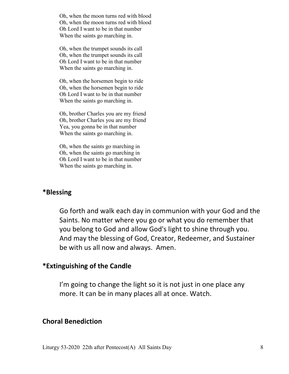Oh, when the moon turns red with blood Oh, when the moon turns red with blood Oh Lord I want to be in that number When the saints go marching in.

 Oh, when the trumpet sounds its call Oh, when the trumpet sounds its call Oh Lord I want to be in that number When the saints go marching in.

 Oh, when the horsemen begin to ride Oh, when the horsemen begin to ride Oh Lord I want to be in that number When the saints go marching in.

 Oh, brother Charles you are my friend Oh, brother Charles you are my friend Yea, you gonna be in that number When the saints go marching in.

 Oh, when the saints go marching in Oh, when the saints go marching in Oh Lord I want to be in that number When the saints go marching in.

## **\*Blessing**

Go forth and walk each day in communion with your God and the Saints. No matter where you go or what you do remember that you belong to God and allow God's light to shine through you. And may the blessing of God, Creator, Redeemer, and Sustainer be with us all now and always. Amen.

#### **\*Extinguishing of the Candle**

I'm going to change the light so it is not just in one place any more. It can be in many places all at once. Watch.

#### **Choral Benediction**